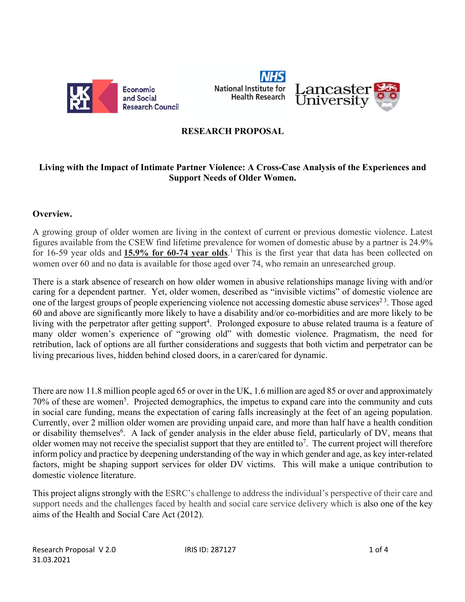

**National Institute for Health Research** 



### **RESEARCH PROPOSAL**

### **Living with the Impact of Intimate Partner Violence: A Cross-Case Analysis of the Experiences and Support Needs of Older Women.**

#### **Overview.**

A growing group of older women are living in the context of current or previous domestic violence. Latest figures available from the CSEW find lifetime prevalence for women of domestic abuse by a partner is 24.9% for 16-59 year olds and **15.9% for 60-74 year olds**. <sup>1</sup> This is the first year that data has been collected on women over 60 and no data is available for those aged over 74, who remain an unresearched group.

There is a stark absence of research on how older women in abusive relationships manage living with and/or caring for a dependent partner. Yet, older women, described as "invisible victims" of domestic violence are one of the largest groups of people experiencing violence not accessing domestic abuse services<sup>23</sup>. Those aged 60 and above are significantly more likely to have a disability and/or co-morbidities and are more likely to be living with the perpetrator after getting support<sup>4</sup>. Prolonged exposure to abuse related trauma is a feature of many older women's experience of "growing old" with domestic violence. Pragmatism, the need for retribution, lack of options are all further considerations and suggests that both victim and perpetrator can be living precarious lives, hidden behind closed doors, in a carer/cared for dynamic.

There are now 11.8 million people aged 65 or over in the UK, 1.6 million are aged 85 or over and approximately 70% of these are women<sup>5</sup>. Projected demographics, the impetus to expand care into the community and cuts in social care funding, means the expectation of caring falls increasingly at the feet of an ageing population. Currently, over 2 million older women are providing unpaid care, and more than half have a health condition or disability themselves<sup>6</sup>. A lack of gender analysis in the elder abuse field, particularly of DV, means that older women may not receive the specialist support that they are entitled to<sup>7</sup>. The current project will therefore inform policy and practice by deepening understanding of the way in which gender and age, as key inter-related factors, might be shaping support services for older DV victims. This will make a unique contribution to domestic violence literature.

This project aligns strongly with the ESRC's challenge to address the individual's perspective of their care and support needs and the challenges faced by health and social care service delivery which is also one of the key aims of the Health and Social Care Act (2012).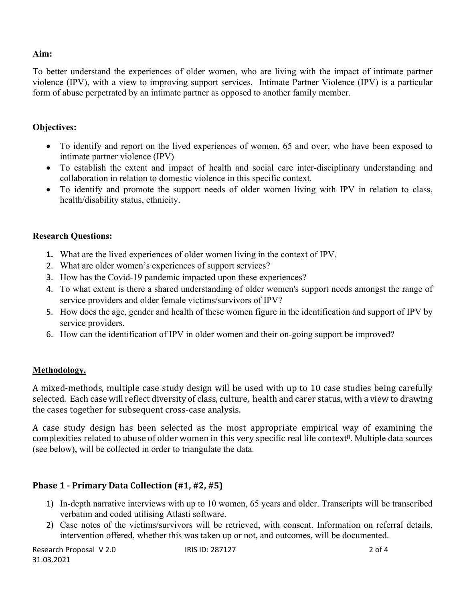### **Aim:**

To better understand the experiences of older women, who are living with the impact of intimate partner violence (IPV), with a view to improving support services. Intimate Partner Violence (IPV) is a particular form of abuse perpetrated by an intimate partner as opposed to another family member.

### **Objectives:**

- To identify and report on the lived experiences of women, 65 and over, who have been exposed to intimate partner violence (IPV)
- To establish the extent and impact of health and social care inter-disciplinary understanding and collaboration in relation to domestic violence in this specific context.
- To identify and promote the support needs of older women living with IPV in relation to class, health/disability status, ethnicity.

### **Research Questions:**

- **1.** What are the lived experiences of older women living in the context of IPV.
- 2. What are older women's experiences of support services?
- 3. How has the Covid-19 pandemic impacted upon these experiences?
- 4. To what extent is there a shared understanding of older women's support needs amongst the range of service providers and older female victims/survivors of IPV?
- 5. How does the age, gender and health of these women figure in the identification and support of IPV by service providers.
- 6. How can the identification of IPV in older women and their on-going support be improved?

#### **Methodology.**

A mixed-methods, multiple case study design will be used with up to 10 case studies being carefully selected. Each case will reflect diversity of class, culture, health and carer status, with a view to drawing the cases together for subsequent cross-case analysis.

A case study design has been selected as the most appropriate empirical way of examining the complexities related to abuse of older women in this very specific real life context<sup>8</sup>. Multiple data sources (see below), will be collected in order to triangulate the data.

# **Phase 1 - Primary Data Collection (#1, #2, #5)**

- 1) In-depth narrative interviews with up to 10 women, 65 years and older. Transcripts will be transcribed verbatim and coded utilising Atlasti software.
- 2) Case notes of the victims/survivors will be retrieved, with consent. Information on referral details, intervention offered, whether this was taken up or not, and outcomes, will be documented.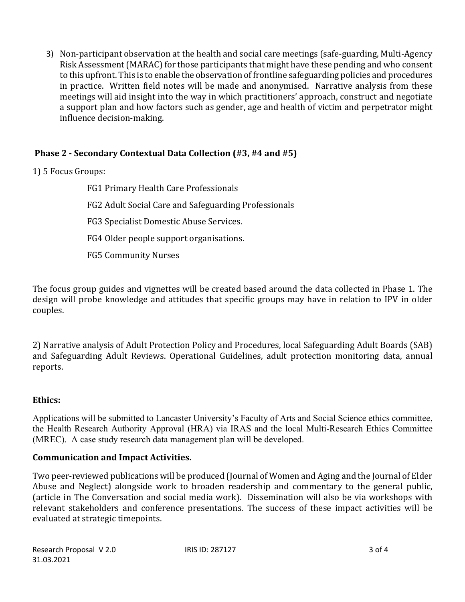3) Non-participant observation at the health and social care meetings (safe-guarding, Multi-Agency Risk Assessment (MARAC) for those participants that might have these pending and who consent to this upfront. This is to enable the observation of frontline safeguarding policies and procedures in practice. Written field notes will be made and anonymised. Narrative analysis from these meetings will aid insight into the way in which practitioners' approach, construct and negotiate a support plan and how factors such as gender, age and health of victim and perpetrator might influence decision-making.

# **Phase 2 - Secondary Contextual Data Collection (#3, #4 and #5)**

1) 5 Focus Groups:

FG1 Primary Health Care Professionals FG2 Adult Social Care and Safeguarding Professionals FG3 Specialist Domestic Abuse Services. FG4 Older people support organisations. FG5 Community Nurses

The focus group guides and vignettes will be created based around the data collected in Phase 1. The design will probe knowledge and attitudes that specific groups may have in relation to IPV in older couples.

2) Narrative analysis of Adult Protection Policy and Procedures, local Safeguarding Adult Boards (SAB) and Safeguarding Adult Reviews. Operational Guidelines, adult protection monitoring data, annual reports. 

# **Ethics:**

Applications will be submitted to Lancaster University's Faculty of Arts and Social Science ethics committee, the Health Research Authority Approval (HRA) via IRAS and the local Multi-Research Ethics Committee (MREC). A case study research data management plan will be developed.

# **Communication and Impact Activities.**

Two peer-reviewed publications will be produced (Journal of Women and Aging and the Journal of Elder Abuse and Neglect) alongside work to broaden readership and commentary to the general public, (article in The Conversation and social media work). Dissemination will also be via workshops with relevant stakeholders and conference presentations. The success of these impact activities will be evaluated at strategic timepoints.